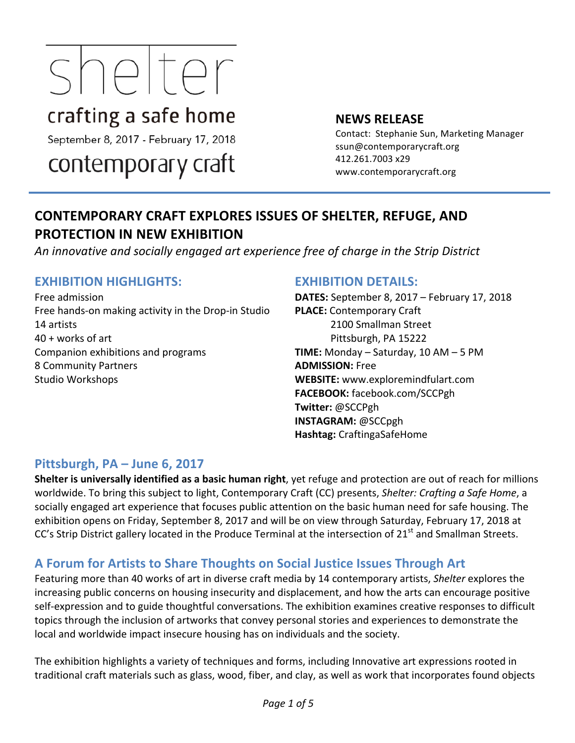# shelter

# crafting a safe home

September 8, 2017 - February 17, 2018

# contemporary craft

#### **NEWS RELEASE**

Contact: Stephanie Sun, Marketing Manager ssun@contemporarycraft.org 412.261.7003 x29 www.contemporarycraft.org

# **CONTEMPORARY CRAFT EXPLORES ISSUES OF SHELTER, REFUGE, AND PROTECTION IN NEW EXHIBITION**

An innovative and socially engaged art experience free of charge in the Strip District

## **EXHIBITION HIGHLIGHTS:**

Free admission Free hands-on making activity in the Drop-in Studio 14 artists  $40 +$  works of art Companion exhibitions and programs 8 Community Partners Studio Workshops

#### **EXHIBITION DETAILS:**

**DATES:** September 8, 2017 – February 17, 2018 **PLACE:** Contemporary Craft 2100 Smallman Street Pittsburgh, PA 15222 **TIME:** Monday  $-$  Saturday, 10 AM  $-$  5 PM **ADMISSION:** Free **WEBSITE:** www.exploremindfulart.com **FACEBOOK:** facebook.com/SCCPgh **Twitter:** @SCCPgh **INSTAGRAM:** @SCCpgh **Hashtag:** CraftingaSafeHome

## **Pittsburgh, PA – June 6, 2017**

**Shelter is universally identified as a basic human right**, yet refuge and protection are out of reach for millions worldwide. To bring this subject to light, Contemporary Craft (CC) presents, *Shelter: Crafting a Safe Home*, a socially engaged art experience that focuses public attention on the basic human need for safe housing. The exhibition opens on Friday, September 8, 2017 and will be on view through Saturday, February 17, 2018 at CC's Strip District gallery located in the Produce Terminal at the intersection of 21<sup>st</sup> and Smallman Streets.

# **A Forum for Artists to Share Thoughts on Social Justice Issues Through Art**

Featuring more than 40 works of art in diverse craft media by 14 contemporary artists, *Shelter* explores the increasing public concerns on housing insecurity and displacement, and how the arts can encourage positive self-expression and to guide thoughtful conversations. The exhibition examines creative responses to difficult topics through the inclusion of artworks that convey personal stories and experiences to demonstrate the local and worldwide impact insecure housing has on individuals and the society.

The exhibition highlights a variety of techniques and forms, including Innovative art expressions rooted in traditional craft materials such as glass, wood, fiber, and clay, as well as work that incorporates found objects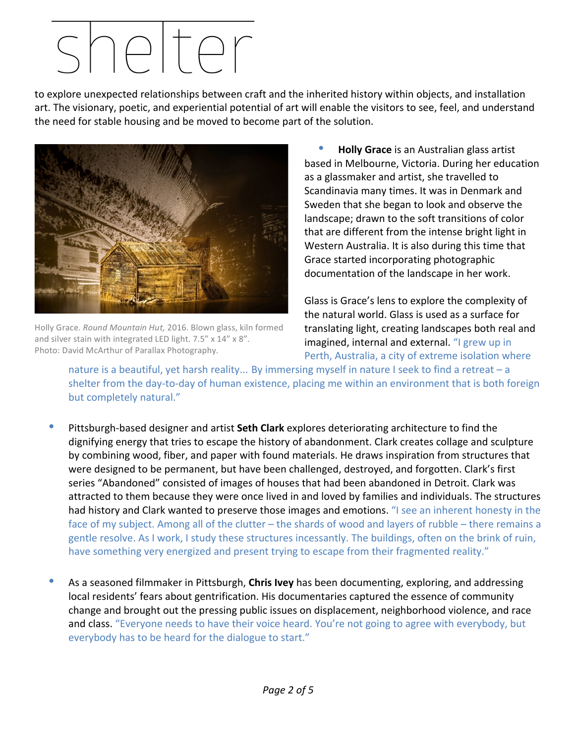# snelter

to explore unexpected relationships between craft and the inherited history within objects, and installation art. The visionary, poetic, and experiential potential of art will enable the visitors to see, feel, and understand the need for stable housing and be moved to become part of the solution.



Holly Grace. *Round Mountain Hut,* 2016. Blown glass, kiln formed and silver stain with integrated LED light.  $7.5'' \times 14'' \times 8''$ . Photo: David McArthur of Parallax Photography.

**• Holly Grace** is an Australian glass artist based in Melbourne, Victoria. During her education as a glassmaker and artist, she travelled to Scandinavia many times. It was in Denmark and Sweden that she began to look and observe the landscape; drawn to the soft transitions of color that are different from the intense bright light in Western Australia. It is also during this time that Grace started incorporating photographic documentation of the landscape in her work.

Glass is Grace's lens to explore the complexity of the natural world. Glass is used as a surface for translating light, creating landscapes both real and imagined, internal and external. "I grew up in Perth, Australia, a city of extreme isolation where

nature is a beautiful, yet harsh reality... By immersing myself in nature I seek to find a retreat – a shelter from the day-to-day of human existence, placing me within an environment that is both foreign but completely natural."

- Pittsburgh-based designer and artist **Seth Clark** explores deteriorating architecture to find the dignifying energy that tries to escape the history of abandonment. Clark creates collage and sculpture by combining wood, fiber, and paper with found materials. He draws inspiration from structures that were designed to be permanent, but have been challenged, destroyed, and forgotten. Clark's first series "Abandoned" consisted of images of houses that had been abandoned in Detroit. Clark was attracted to them because they were once lived in and loved by families and individuals. The structures had history and Clark wanted to preserve those images and emotions. "I see an inherent honesty in the face of my subject. Among all of the clutter  $-$  the shards of wood and layers of rubble  $-$  there remains a gentle resolve. As I work, I study these structures incessantly. The buildings, often on the brink of ruin, have something very energized and present trying to escape from their fragmented reality."
- As a seasoned filmmaker in Pittsburgh, Chris Ivey has been documenting, exploring, and addressing local residents' fears about gentrification. His documentaries captured the essence of community change and brought out the pressing public issues on displacement, neighborhood violence, and race and class. "Everyone needs to have their voice heard. You're not going to agree with everybody, but everybody has to be heard for the dialogue to start."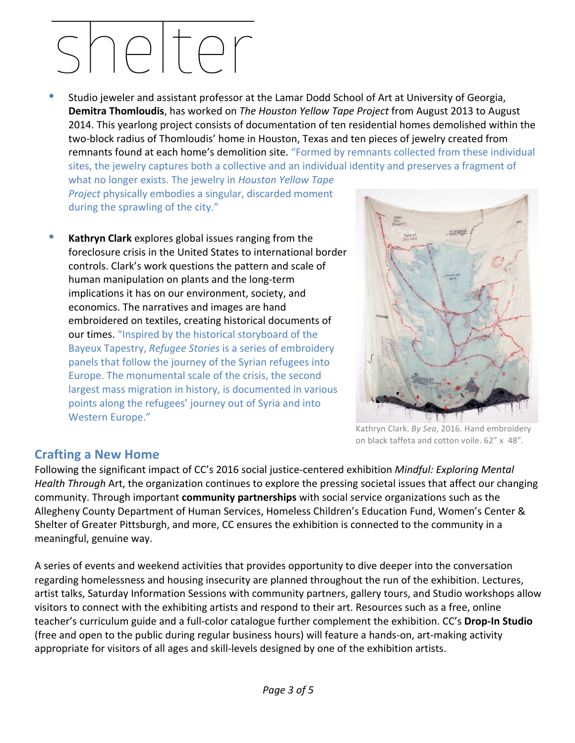# sheiter

Studio jeweler and assistant professor at the Lamar Dodd School of Art at University of Georgia, **Demitra Thomloudis**, has worked on *The Houston Yellow Tape Project* from August 2013 to August 2014. This yearlong project consists of documentation of ten residential homes demolished within the two-block radius of Thomloudis' home in Houston, Texas and ten pieces of jewelry created from remnants found at each home's demolition site. "Formed by remnants collected from these individual sites, the jewelry captures both a collective and an individual identity and preserves a fragment of

what no longer exists. The jewelry in *Houston Yellow Tape Project* physically embodies a singular, discarded moment during the sprawling of the city."

**Kathryn Clark** explores global issues ranging from the foreclosure crisis in the United States to international border controls. Clark's work questions the pattern and scale of human manipulation on plants and the long-term implications it has on our environment, society, and economics. The narratives and images are hand embroidered on textiles, creating historical documents of our times. "Inspired by the historical storyboard of the Bayeux Tapestry, *Refugee Stories* is a series of embroidery panels that follow the journey of the Syrian refugees into Europe. The monumental scale of the crisis, the second largest mass migration in history, is documented in various points along the refugees' journey out of Syria and into Western Europe."



Kathryn Clark. By Sea, 2016. Hand embroidery on black taffeta and cotton voile. 62" x 48".

## **Crafting a New Home**

Following the significant impact of CC's 2016 social justice-centered exhibition *Mindful: Exploring Mental Health* Through Art, the organization continues to explore the pressing societal issues that affect our changing community. Through important **community partnerships** with social service organizations such as the Allegheny County Department of Human Services, Homeless Children's Education Fund, Women's Center & Shelter of Greater Pittsburgh, and more, CC ensures the exhibition is connected to the community in a meaningful, genuine way.

A series of events and weekend activities that provides opportunity to dive deeper into the conversation regarding homelessness and housing insecurity are planned throughout the run of the exhibition. Lectures, artist talks, Saturday Information Sessions with community partners, gallery tours, and Studio workshops allow visitors to connect with the exhibiting artists and respond to their art. Resources such as a free, online teacher's curriculum guide and a full-color catalogue further complement the exhibition. CC's Drop-In Studio (free and open to the public during regular business hours) will feature a hands-on, art-making activity appropriate for visitors of all ages and skill-levels designed by one of the exhibition artists.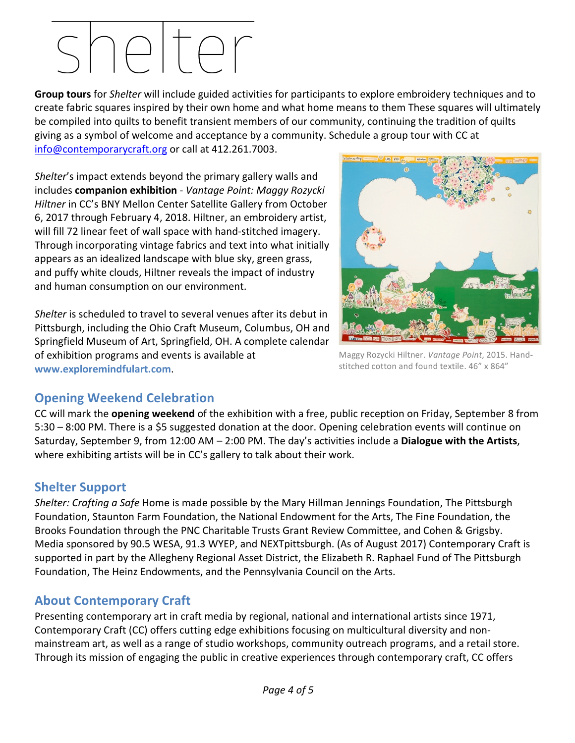# shelter

**Group tours** for *Shelter* will include guided activities for participants to explore embroidery techniques and to create fabric squares inspired by their own home and what home means to them These squares will ultimately be compiled into quilts to benefit transient members of our community, continuing the tradition of quilts giving as a symbol of welcome and acceptance by a community. Schedule a group tour with CC at info@contemporarycraft.org or call at 412.261.7003.

Shelter's impact extends beyond the primary gallery walls and includes **companion exhibition** - Vantage Point: Maggy Rozycki Hiltner in CC's BNY Mellon Center Satellite Gallery from October 6, 2017 through February 4, 2018. Hiltner, an embroidery artist, will fill 72 linear feet of wall space with hand-stitched imagery. Through incorporating vintage fabrics and text into what initially appears as an idealized landscape with blue sky, green grass, and puffy white clouds, Hiltner reveals the impact of industry and human consumption on our environment.

*Shelter* is scheduled to travel to several venues after its debut in Pittsburgh, including the Ohio Craft Museum, Columbus, OH and Springfield Museum of Art, Springfield, OH. A complete calendar of exhibition programs and events is available at **www.exploremindfulart.com**.



Maggy Rozycki Hiltner. *Vantage Point*, 2015. Handstitched cotton and found textile. 46" x 864"

## **Opening Weekend Celebration**

CC will mark the **opening weekend** of the exhibition with a free, public reception on Friday, September 8 from 5:30 – 8:00 PM. There is a \$5 suggested donation at the door. Opening celebration events will continue on Saturday, September 9, from 12:00 AM – 2:00 PM. The day's activities include a **Dialogue with the Artists**, where exhibiting artists will be in CC's gallery to talk about their work.

## **Shelter Support**

*Shelter: Crafting a Safe* Home is made possible by the Mary Hillman Jennings Foundation, The Pittsburgh Foundation, Staunton Farm Foundation, the National Endowment for the Arts, The Fine Foundation, the Brooks Foundation through the PNC Charitable Trusts Grant Review Committee, and Cohen & Grigsby. Media sponsored by 90.5 WESA, 91.3 WYEP, and NEXTpittsburgh. (As of August 2017) Contemporary Craft is supported in part by the Allegheny Regional Asset District, the Elizabeth R. Raphael Fund of The Pittsburgh Foundation, The Heinz Endowments, and the Pennsylvania Council on the Arts.

## **About Contemporary Craft**

Presenting contemporary art in craft media by regional, national and international artists since 1971, Contemporary Craft (CC) offers cutting edge exhibitions focusing on multicultural diversity and nonmainstream art, as well as a range of studio workshops, community outreach programs, and a retail store. Through its mission of engaging the public in creative experiences through contemporary craft, CC offers